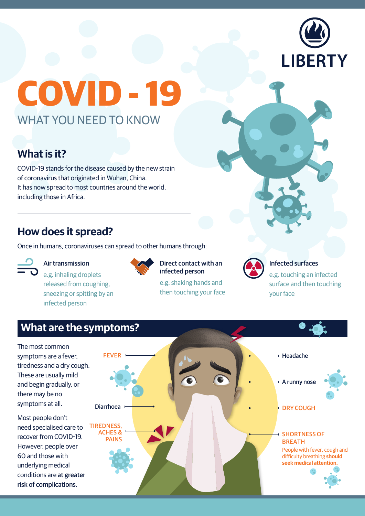

# **COVID - 19** WHAT YOU NEED TO KNOW

## **What is it?**

COVID-19 stands for the disease caused by the new strain of coronavirus that originated in Wuhan, China. It has now spread to most countries around the world, including those in Africa.

### **How does it spread?**

Once in humans, coronaviruses can spread to other humans through:



#### Air transmission

e.g. inhaling droplets released from coughing, sneezing or spitting by an infected person



#### Direct contact with an infected person

e.g. shaking hands and then touching your face



#### Infected surfaces

e.g. touching an infected surface and then touching your face

## **What are the symptoms?**

The most common symptoms are a fever, tiredness and a dry cough. These are usually mild and begin gradually, or there may be no symptoms at all.

Most people don't need specialised care to recover from COVID-19. However, people over 60 and those with underlying medical conditions are at greater risk of complications.